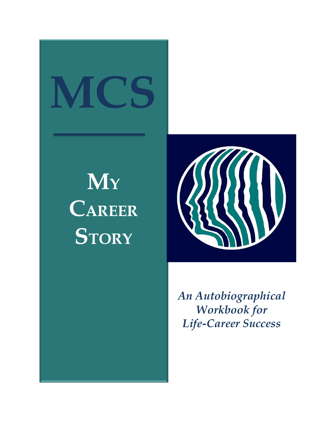# **MCS**

### **M<sup>Y</sup> CAREER STORY**



*An Autobiographical Workbook for Life-Career Success*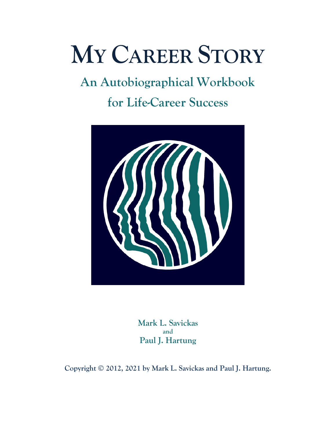### **MY CAREER STORY**

## **An Autobiographical Workbook**

**for Life-Career Success**



**Mark L. Savickas and Paul J. Hartung**

**Copyright © 2012, 2021 by Mark L. Savickas and Paul J. Hartung.**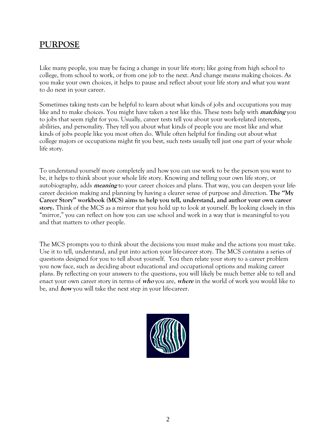#### **PURPOSE**

Like many people, you may be facing a change in your life story; like going from high school to college, from school to work, or from one job to the next. And change means making choices. As you make your own choices, it helps to pause and reflect about your life story and what you want to do next in your career.

Sometimes taking tests can be helpful to learn about what kinds of jobs and occupations you may like and to make choices. You might have taken a test like this. These tests help with **matching** you to jobs that seem right for you. Usually, career tests tell you about your work-related interests, abilities, and personality. They tell you about what kinds of people you are most like and what kinds of jobs people like you most often do. While often helpful for finding out about what college majors or occupations might fit you best, such tests usually tell just one part of your whole life story.

To understand yourself more completely and how you can use work to be the person you want to be, it helps to think about your whole life story. Knowing and telling your own life story, or autobiography, adds **meaning** to your career choices and plans. That way, you can deepen your lifecareer decision making and planning by having a clearer sense of purpose and direction. **The "My Career Story" workbook (MCS) aims to help you tell, understand, and author your own career story.** Think of the MCS as a mirror that you hold up to look at yourself. By looking closely in this "mirror," you can reflect on how you can use school and work in a way that is meaningful to you and that matters to other people.

The MCS prompts you to think about the decisions you must make and the actions you must take. Use it to tell, understand, and put into action your life-career story. The MCS contains a series of questions designed for you to tell about yourself. You then relate your story to a career problem you now face, such as deciding about educational and occupational options and making career plans. By reflecting on your answers to the questions, you will likely be much better able to tell and enact your own career story in terms of **who** you are, **where** in the world of work you would like to be, and **how** you will take the next step in your life-career.

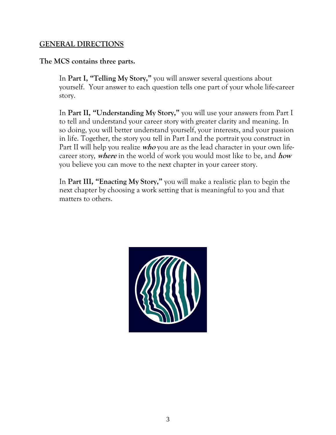#### **GENERAL DIRECTIONS**

**The MCS contains three parts.** 

In **Part I, "Telling My Story,"** you will answer several questions about yourself. Your answer to each question tells one part of your whole life-career story.

In **Part II, "Understanding My Story,"** you will use your answers from Part I to tell and understand your career story with greater clarity and meaning. In so doing, you will better understand yourself, your interests, and your passion in life. Together, the story you tell in Part I and the portrait you construct in Part II will help you realize **who** you are as the lead character in your own lifecareer story, **where** in the world of work you would most like to be, and **how** you believe you can move to the next chapter in your career story.

In **Part III, "Enacting My Story,"** you will make a realistic plan to begin the next chapter by choosing a work setting that is meaningful to you and that matters to others.

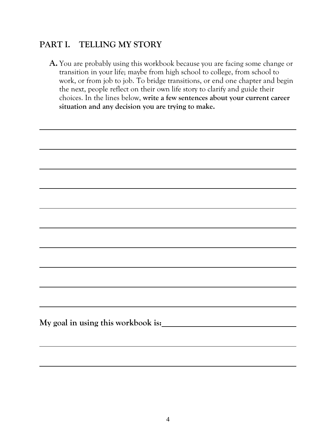#### **PART I. TELLING MY STORY**

**A.** You are probably using this workbook because you are facing some change or transition in your life; maybe from high school to college, from school to work, or from job to job. To bridge transitions, or end one chapter and begin the next, people reflect on their own life story to clarify and guide their choices. In the lines below, **write a few sentences about your current career situation and any decision you are trying to make.**

**My goal in using this workbook is:**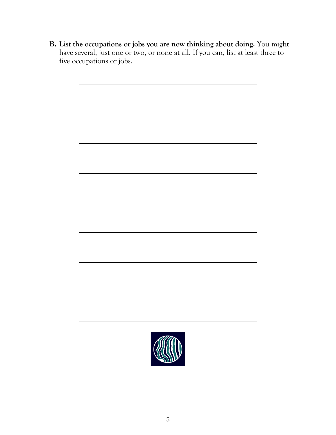**B. List the occupations or jobs you are now thinking about doing.** You might have several, just one or two, or none at all. If you can, list at least three to five occupations or jobs.

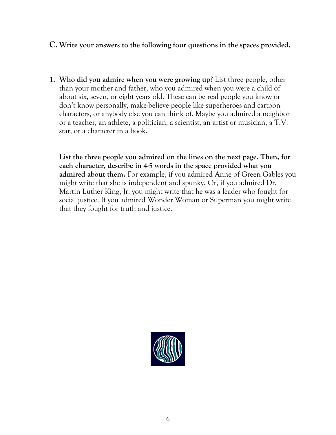#### **C. Write your answers to the following four questions in the spaces provided.**

**1. Who did you admire when you were growing up?** List three people, other than your mother and father, who you admired when you were a child of about six, seven, or eight years old. These can be real people you know or don't know personally, make-believe people like superheroes and cartoon characters, or anybody else you can think of. Maybe you admired a neighbor or a teacher, an athlete, a politician, a scientist, an artist or musician, a T.V. star, or a character in a book.

**List the three people you admired on the lines on the next page. Then, for each character, describe in 4-5 words in the space provided what you admired about them.** For example, if you admired Anne of Green Gables you might write that she is independent and spunky. Or, if you admired Dr. Martin Luther King, Jr. you might write that he was a leader who fought for social justice. If you admired Wonder Woman or Superman you might write that they fought for truth and justice.

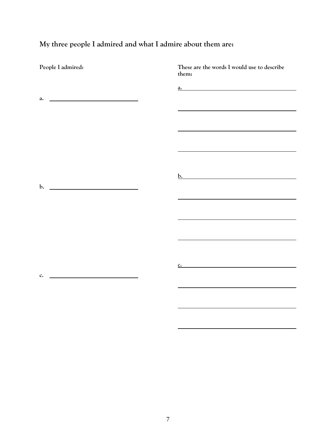**My three people I admired and what I admire about them are:**

| These are the words I would use to describe |
|---------------------------------------------|
| $\mathbf{a.}$                               |
|                                             |
|                                             |
|                                             |
|                                             |
|                                             |
|                                             |
|                                             |
|                                             |
|                                             |
|                                             |
| $\frac{\mathbf{c}}{\mathbf{c}}$             |
|                                             |
|                                             |
|                                             |
|                                             |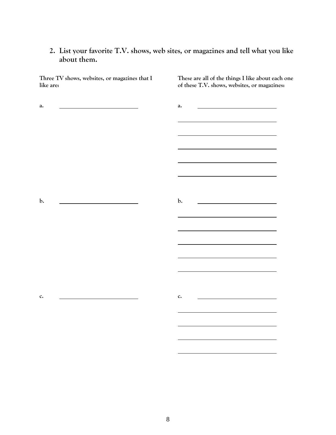#### **2. List your favorite T.V. shows, web sites, or magazines and tell what you like about them.**

| Three TV shows, websites, or magazines that I<br>like are: | These are all of the things I like about each one<br>of these T.V. shows, websites, or magazines: |
|------------------------------------------------------------|---------------------------------------------------------------------------------------------------|
| a.                                                         | <u> 1989 - Andrea Andrew Maria (b. 1989)</u><br>a.                                                |
|                                                            |                                                                                                   |
|                                                            |                                                                                                   |
|                                                            |                                                                                                   |
| $\mathbf{b}$ .                                             | $\mathbf{b}$ .                                                                                    |
|                                                            |                                                                                                   |
|                                                            |                                                                                                   |
|                                                            |                                                                                                   |
| c.                                                         | $c.$                                                                                              |
|                                                            |                                                                                                   |
|                                                            |                                                                                                   |
|                                                            |                                                                                                   |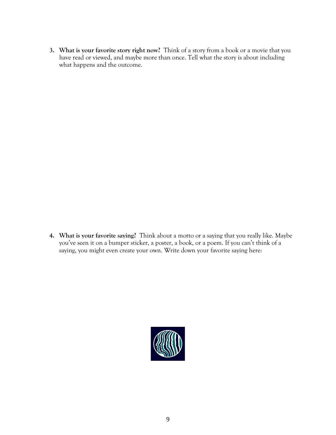**3. What is your favorite story right now?** Think of a story from a book or a movie that you have read or viewed, and maybe more than once. Tell what the story is about including what happens and the outcome.

**4. What is your favorite saying?** Think about a motto or a saying that you really like. Maybe you've seen it on a bumper sticker, a poster, a book, or a poem. If you can't think of a saying, you might even create your own. Write down your favorite saying here:

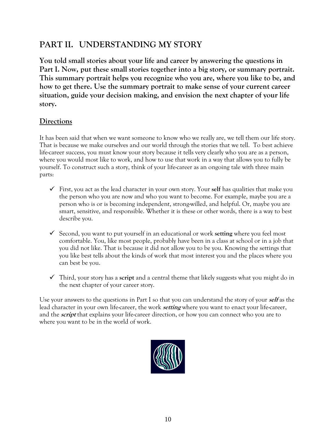#### **PART II. UNDERSTANDING MY STORY**

**You told small stories about your life and career by answering the questions in Part I. Now, put these small stories together into a big story, or summary portrait. This summary portrait helps you recognize who you are, where you like to be, and how to get there. Use the summary portrait to make sense of your current career situation, guide your decision making, and envision the next chapter of your life story.**

#### **Directions**

It has been said that when we want someone to know who we really are, we tell them our life story. That is because we make ourselves and our world through the stories that we tell. To best achieve life-career success, you must know your story because it tells very clearly who you are as a person, where you would most like to work, and how to use that work in a way that allows you to fully be yourself. To construct such a story, think of your life-career as an ongoing tale with three main parts:

- $\checkmark$  First, you act as the lead character in your own story. Your self has qualities that make you the person who you are now and who you want to become. For example, maybe you are a person who is or is becoming independent, strong-willed, and helpful. Or, maybe you are smart, sensitive, and responsible. Whether it is these or other words, there is a way to best describe you.
- Second, you want to put yourself in an educational or work **setting** where you feel most comfortable. You, like most people, probably have been in a class at school or in a job that you did not like. That is because it did not allow you to be you. Knowing the settings that you like best tells about the kinds of work that most interest you and the places where you can best be you.
- Third, your story has a **script** and a central theme that likely suggests what you might do in the next chapter of your career story.

Use your answers to the questions in Part I so that you can understand the story of your **self** as the lead character in your own life-career, the work **setting** where you want to enact your life-career, and the **script** that explains your life-career direction, or how you can connect who you are to where you want to be in the world of work.

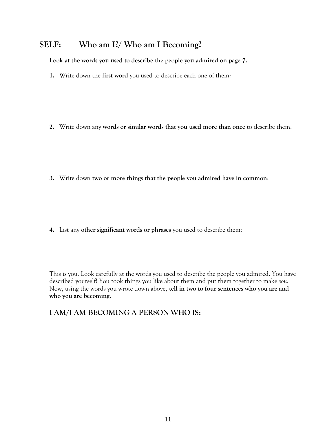#### **SELF: Who am I?/ Who am I Becoming?**

**Look at the words you used to describe the people you admired on page 7.** 

**1.** Write down the **first word** you used to describe each one of them:

**2.** Write down any **words or similar words that you used more than once** to describe them:

**3.** Write down **two or more things that the people you admired have in common**:

**4.** List any **other significant words or phrases** you used to describe them:

This is you. Look carefully at the words you used to describe the people you admired. You have described yourself! You took things you like about them and put them together to make *you*. Now, using the words you wrote down above, **tell in two to four sentences who you are and who you are becoming**.

#### **I AM/I AM BECOMING A PERSON WHO IS:**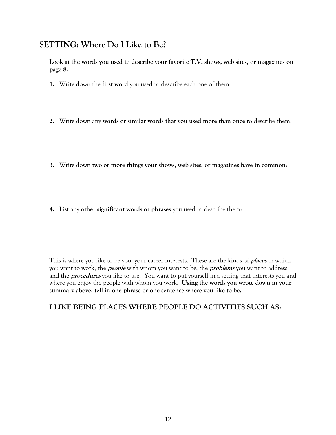#### **SETTING: Where Do I Like to Be?**

**Look at the words you used to describe your favorite T.V. shows, web sites, or magazines on page 8.**

- **1.** Write down the **first word** you used to describe each one of them:
- **2.** Write down any **words or similar words that you used more than once** to describe them:
- **3.** Write down **two or more things your shows, web sites, or magazines have in common**:
- **4.** List any **other significant words or phrases** you used to describe them:

This is where you like to be you, your career interests. These are the kinds of **places** in which you want to work, the **people** with whom you want to be, the **problems** you want to address, and the **procedures** you like to use. You want to put yourself in a setting that interests you and where you enjoy the people with whom you work. **Using the words you wrote down in your summary above, tell in one phrase or one sentence where you like to be.**

#### **I LIKE BEING PLACES WHERE PEOPLE DO ACTIVITIES SUCH AS:**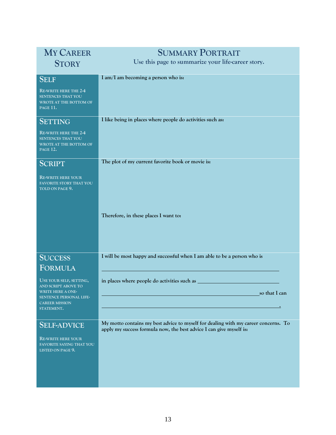| <b>MY CAREER</b>                                                                                                                                               | <b>SUMMARY PORTRAIT</b>                                                                                                                                   |  |  |
|----------------------------------------------------------------------------------------------------------------------------------------------------------------|-----------------------------------------------------------------------------------------------------------------------------------------------------------|--|--|
| <b>STORY</b>                                                                                                                                                   | Use this page to summarize your life-career story.                                                                                                        |  |  |
| <b>SELF</b><br><b>RE-WRITE HERE THE 2-4</b><br><b>SENTENCES THAT YOU</b><br>WROTE AT THE BOTTOM OF<br><b>PAGE 11.</b>                                          | I am/I am becoming a person who is:                                                                                                                       |  |  |
| <b>SETTING</b><br>RE-WRITE HERE THE 2-4<br><b>SENTENCES THAT YOU</b><br>WROTE AT THE BOTTOM OF<br>PAGE 12.                                                     | I like being in places where people do activities such as:                                                                                                |  |  |
| <b>SCRIPT</b>                                                                                                                                                  | The plot of my current favorite book or movie is:                                                                                                         |  |  |
| <b>RE-WRITE HERE YOUR</b><br>FAVORITE STORY THAT YOU<br>TOLD ON PAGE 9.                                                                                        |                                                                                                                                                           |  |  |
|                                                                                                                                                                | Therefore, in these places I want to:                                                                                                                     |  |  |
| <b>SUCCESS</b>                                                                                                                                                 | I will be most happy and successful when I am able to be a person who is                                                                                  |  |  |
| <b>FORMULA</b><br>USE YOUR SELF, SETTING,<br>AND SCRIPT ABOVE TO<br><b>WRITE HERE A ONE-</b><br>SENTENCE PERSONAL LIFE-<br><b>CAREER MISSION</b><br>STATEMENT. | in places where people do activities such as<br>so that I can                                                                                             |  |  |
| <b>SELF-ADVICE</b><br><b>RE-WRITE HERE YOUR</b><br>FAVORITE SAYING THAT YOU<br>LISTED ON PAGE 9.                                                               | My motto contains my best advice to myself for dealing with my career concerns. To<br>apply my success formula now, the best advice I can give myself is: |  |  |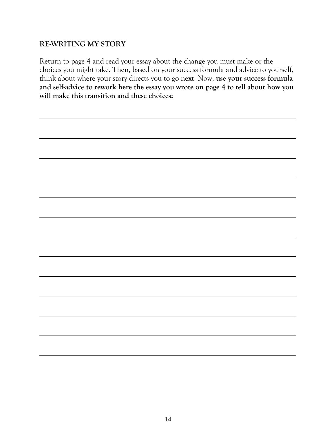#### **RE-WRITING MY STORY**

Return to page 4 and read your essay about the change you must make or the choices you might take. Then, based on your success formula and advice to yourself, think about where your story directs you to go next. Now, **use your success formula and self-advice to rework here the essay you wrote on page 4 to tell about how you will make this transition and these choices:**

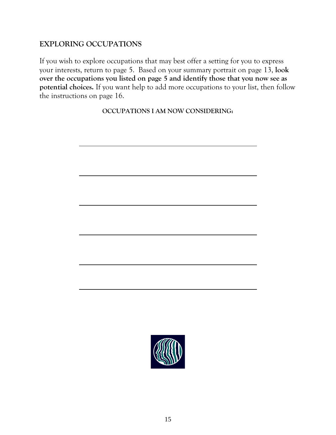#### **EXPLORING OCCUPATIONS**

If you wish to explore occupations that may best offer a setting for you to express your interests, return to page 5. Based on your summary portrait on page 13, **look over the occupations you listed on page 5 and identify those that you now see as potential choices.** If you want help to add more occupations to your list, then follow the instructions on page 16.

**OCCUPATIONS I AM NOW CONSIDERING:**

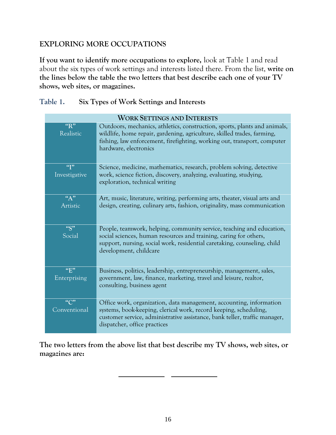#### **EXPLORING MORE OCCUPATIONS**

**If you want to identify more occupations to explore,** look at Table 1 and read about the six types of work settings and interests listed there. From the list, **write on the lines below the table the two letters that best describe each one of your TV shows, web sites, or magazines.**

| Table 1. | Six Types of Work Settings and Interests |
|----------|------------------------------------------|
|          |                                          |

| <b>WORK SETTINGS AND INTERESTS</b> |                                                                                                                                                                                                                                                           |  |  |  |
|------------------------------------|-----------------------------------------------------------------------------------------------------------------------------------------------------------------------------------------------------------------------------------------------------------|--|--|--|
| "R"<br>Realistic                   | Outdoors, mechanics, athletics, construction, sports, plants and animals,<br>wildlife, home repair, gardening, agriculture, skilled trades, farming,<br>fishing, law enforcement, firefighting, working out, transport, computer<br>hardware, electronics |  |  |  |
| $\mathfrak{q}$<br>Investigative    | Science, medicine, mathematics, research, problem solving, detective<br>work, science fiction, discovery, analyzing, evaluating, studying,<br>exploration, technical writing                                                                              |  |  |  |
| $\frac{\pi}{4}$<br>Artistic        | Art, music, literature, writing, performing arts, theater, visual arts and<br>design, creating, culinary arts, fashion, originality, mass communication                                                                                                   |  |  |  |
| "S"<br>Social                      | People, teamwork, helping, community service, teaching and education,<br>social sciences, human resources and training, caring for others,<br>support, nursing, social work, residential caretaking, counseling, child<br>development, childcare          |  |  |  |
| "E"<br>Enterprising                | Business, politics, leadership, entrepreneurship, management, sales,<br>government, law, finance, marketing, travel and leisure, realtor,<br>consulting, business agent                                                                                   |  |  |  |
| $\mu_{\rm C}$<br>Conventional      | Office work, organization, data management, accounting, information<br>systems, book-keeping, clerical work, record keeping, scheduling,<br>customer service, administrative assistance, bank teller, traffic manager,<br>dispatcher, office practices    |  |  |  |

**The two letters from the above list that best describe my TV shows, web sites, or magazines are:**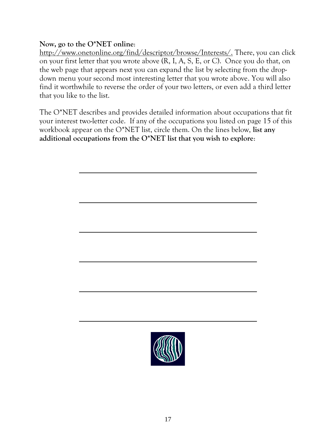#### **Now, go to the O\*NET online**:

[http://www.onetonline.org/find/descriptor/browse/Interests/.](http://www.onetonline.org/find/descriptor/browse/Interests/) There, you can click on your first letter that you wrote above (R, I, A, S, E, or C). Once you do that, on the web page that appears next you can expand the list by selecting from the dropdown menu your second most interesting letter that you wrote above. You will also find it worthwhile to reverse the order of your two letters, or even add a third letter that you like to the list.

The O\*NET describes and provides detailed information about occupations that fit your interest two-letter code. If any of the occupations you listed on page 15 of this workbook appear on the O\*NET list, circle them. On the lines below, **list any additional occupations from the O\*NET list that you wish to explore**:

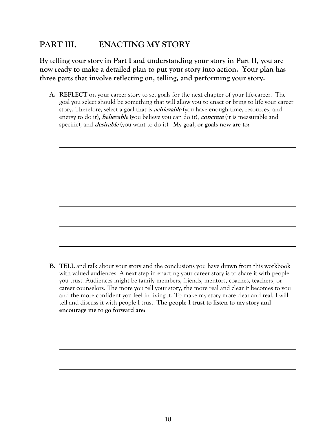#### **PART III. ENACTING MY STORY**

**By telling your story in Part I and understanding your story in Part II, you are now ready to make a detailed plan to put your story into action. Your plan has three parts that involve reflecting on, telling, and performing your story.**

**A. REFLECT** on your career story to set goals for the next chapter of your life-career. The goal you select should be something that will allow you to enact or bring to life your career story. Therefore, select a goal that is **achievable** (you have enough time, resources, and energy to do it), **believable** (you believe you can do it), **concrete** (it is measurable and specific), and **desirable** (you want to do it). **My goal, or goals now are to:**

**B. TELL** and talk about your story and the conclusions you have drawn from this workbook with valued audiences. A next step in enacting your career story is to share it with people you trust. Audiences might be family members, friends, mentors, coaches, teachers, or career counselors. The more you tell your story, the more real and clear it becomes to you and the more confident you feel in living it. To make my story more clear and real, I will tell and discuss it with people I trust. **The people I trust to listen to my story and encourage me to go forward are:**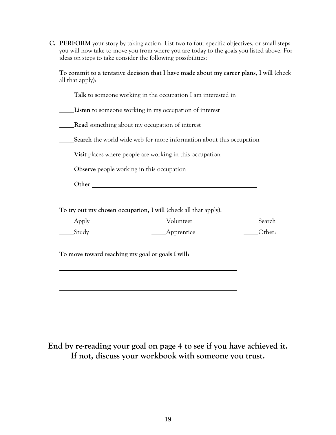**C. PERFORM** your story by taking action. List two to four specific objectives, or small steps you will now take to move you from where you are today to the goals you listed above. For ideas on steps to take consider the following possibilities:

**To commit to a tentative decision that I have made about my career plans, I will** (check all that apply):

**Talk** to someone working in the occupation I am interested in

**Listen** to someone working in my occupation of interest

**Read** something about my occupation of interest

**Search** the world wide web for more information about this occupation

**Visit** places where people are working in this occupation

**CO**bserve people working in this occupation

**Other** *COLLECTERS COLLECTERS COLLECTERS* 

**To try out my chosen occupation, I will** (check all that apply):

| $\_\_\_$ Apply    | Volunteer         | Search |
|-------------------|-------------------|--------|
| $S_{\text{tudy}}$ | _______Apprentice | Other: |

**To move toward reaching my goal or goals I will:**

**End by re-reading your goal on page 4 to see if you have achieved it. If not, discuss your workbook with someone you trust.**